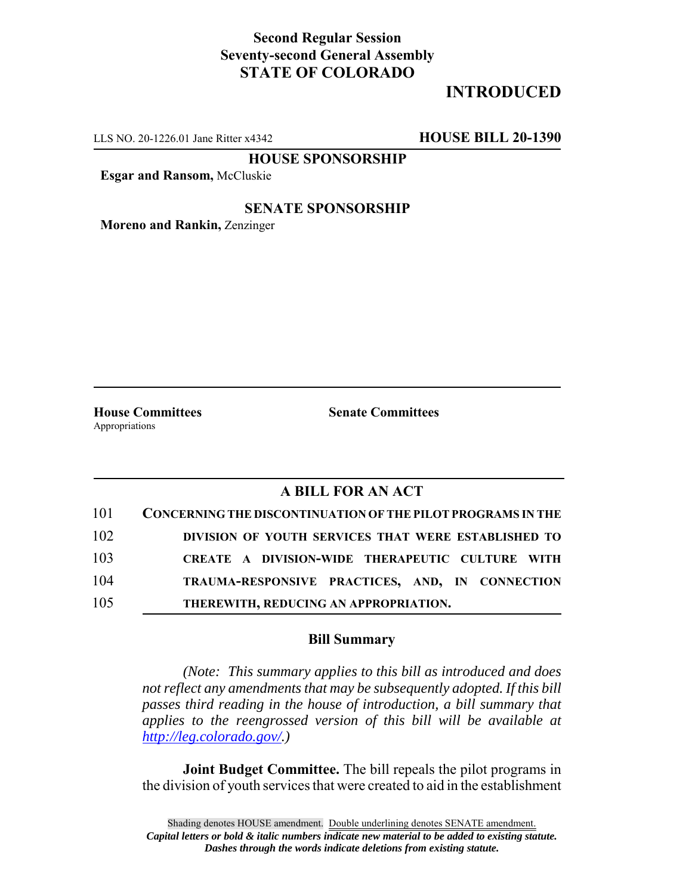## **Second Regular Session Seventy-second General Assembly STATE OF COLORADO**

# **INTRODUCED**

LLS NO. 20-1226.01 Jane Ritter x4342 **HOUSE BILL 20-1390**

**HOUSE SPONSORSHIP**

**Esgar and Ransom,** McCluskie

#### **SENATE SPONSORSHIP**

**Moreno and Rankin,** Zenzinger

Appropriations

**House Committees Senate Committees**

### **A BILL FOR AN ACT**

| 101 | CONCERNING THE DISCONTINUATION OF THE PILOT PROGRAMS IN THE |
|-----|-------------------------------------------------------------|
| 102 | DIVISION OF YOUTH SERVICES THAT WERE ESTABLISHED TO         |
| 103 | CREATE A DIVISION-WIDE THERAPEUTIC CULTURE WITH             |
| 104 | TRAUMA-RESPONSIVE PRACTICES, AND, IN CONNECTION             |
| 105 | THEREWITH, REDUCING AN APPROPRIATION.                       |

#### **Bill Summary**

*(Note: This summary applies to this bill as introduced and does not reflect any amendments that may be subsequently adopted. If this bill passes third reading in the house of introduction, a bill summary that applies to the reengrossed version of this bill will be available at http://leg.colorado.gov/.)*

**Joint Budget Committee.** The bill repeals the pilot programs in the division of youth services that were created to aid in the establishment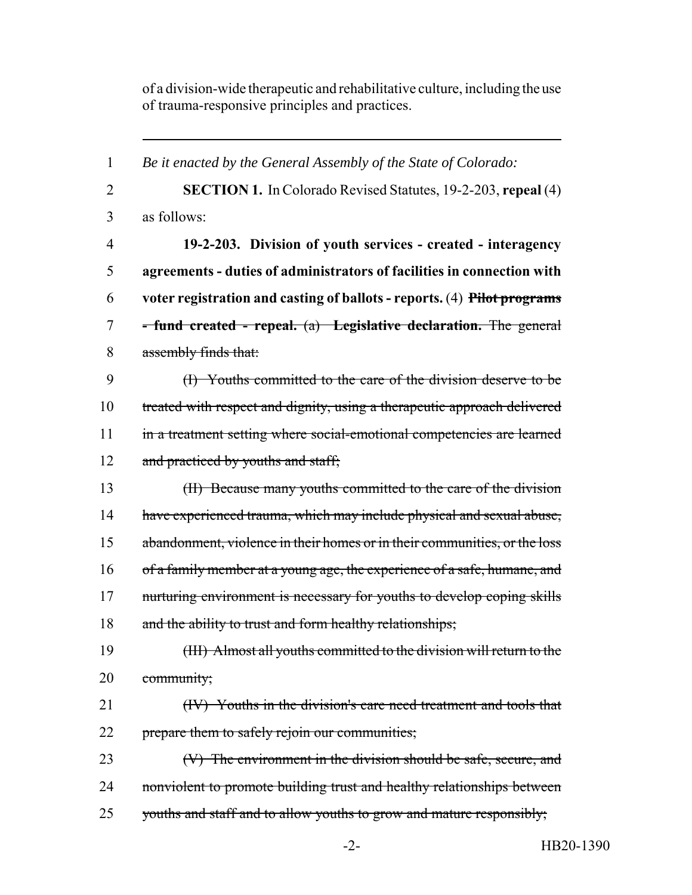of a division-wide therapeutic and rehabilitative culture, including the use of trauma-responsive principles and practices.

1 *Be it enacted by the General Assembly of the State of Colorado:* 2 **SECTION 1.** In Colorado Revised Statutes, 19-2-203, **repeal** (4) 3 as follows: 4 **19-2-203. Division of youth services - created - interagency** 5 **agreements - duties of administrators of facilities in connection with** 6 **voter registration and casting of ballots - reports.** (4) **Pilot programs** 7 **- fund created - repeal.** (a) **Legislative declaration.** The general 8 assembly finds that: 9 (I) Youths committed to the care of the division deserve to be 10 treated with respect and dignity, using a therapeutic approach delivered 11 in a treatment setting where social-emotional competencies are learned 12 and practiced by youths and staff; 13 (II) Because many youths committed to the care of the division 14 have experienced trauma, which may include physical and sexual abuse, 15 abandonment, violence in their homes or in their communities, or the loss 16 of a family member at a young age, the experience of a safe, humane, and 17 nurturing environment is necessary for youths to develop coping skills 18 and the ability to trust and form healthy relationships; 19 (III) Almost all youths committed to the division will return to the 20 community; 21 (IV) Youths in the division's care need treatment and tools that 22 prepare them to safely rejoin our communities; 23 (V) The environment in the division should be safe, secure, and 24 nonviolent to promote building trust and healthy relationships between 25 youths and staff and to allow youths to grow and mature responsibly;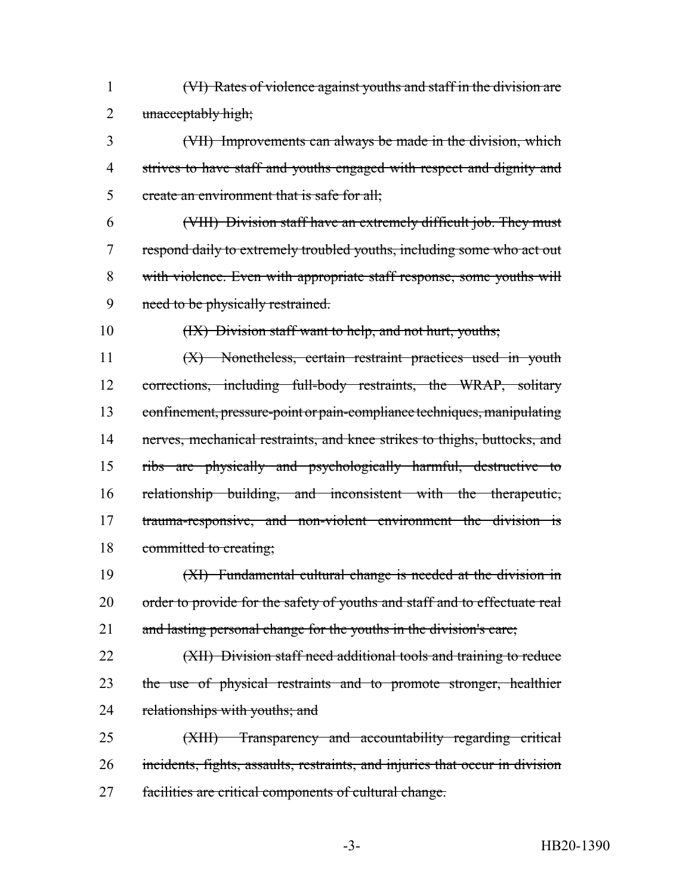(VI) Rates of violence against youths and staff in the division are 2 unacceptably high;

 (VII) Improvements can always be made in the division, which strives to have staff and youths engaged with respect and dignity and 5 create an environment that is safe for all;

 (VIII) Division staff have an extremely difficult job. They must respond daily to extremely troubled youths, including some who act out with violence. Even with appropriate staff response, some youths will need to be physically restrained.

10 (IX) Division staff want to help, and not hurt, youths;

 (X) Nonetheless, certain restraint practices used in youth corrections, including full-body restraints, the WRAP, solitary confinement, pressure-point or pain-compliance techniques, manipulating 14 nerves, mechanical restraints, and knee strikes to thighs, buttocks, and ribs are physically and psychologically harmful, destructive to relationship building, and inconsistent with the therapeutic, trauma-responsive, and non-violent environment the division is 18 committed to creating;

 (XI) Fundamental cultural change is needed at the division in 20 order to provide for the safety of youths and staff and to effectuate real 21 and lasting personal change for the youths in the division's care;

22 (XII) Division staff need additional tools and training to reduce 23 the use of physical restraints and to promote stronger, healthier 24 relationships with youths; and

 (XIII) Transparency and accountability regarding critical incidents, fights, assaults, restraints, and injuries that occur in division facilities are critical components of cultural change.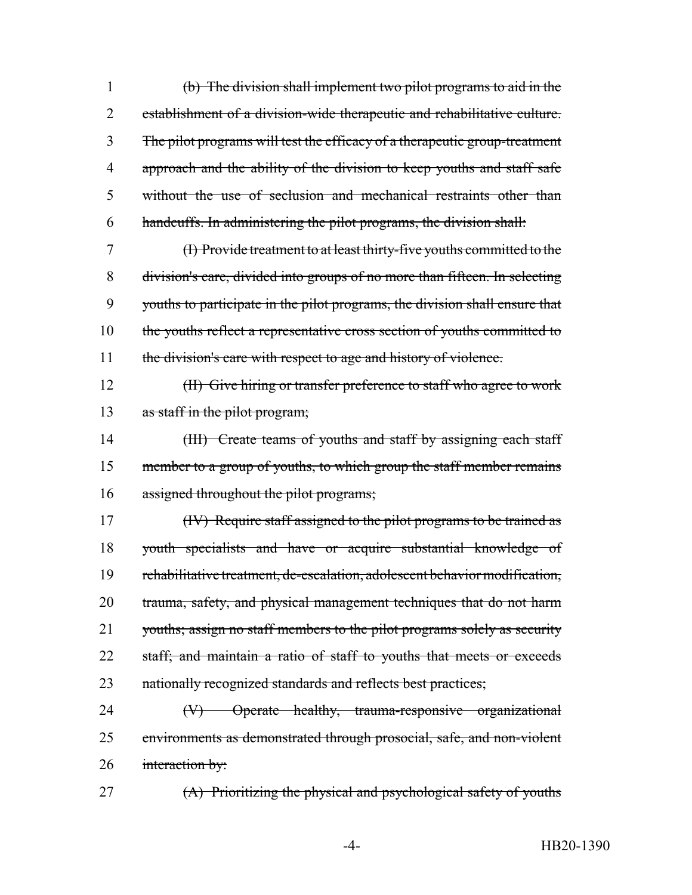(b) The division shall implement two pilot programs to aid in the establishment of a division-wide therapeutic and rehabilitative culture. The pilot programs will test the efficacy of a therapeutic group-treatment 4 approach and the ability of the division to keep youths and staff safe without the use of seclusion and mechanical restraints other than handcuffs. In administering the pilot programs, the division shall:

7 (I) Provide treatment to at least thirty-five youths committed to the 8 division's care, divided into groups of no more than fifteen. In selecting 9 youths to participate in the pilot programs, the division shall ensure that 10 the youths reflect a representative cross section of youths committed to 11 the division's care with respect to age and history of violence.

12 (II) Give hiring or transfer preference to staff who agree to work 13 as staff in the pilot program;

14 (III) Create teams of youths and staff by assigning each staff 15 member to a group of youths, to which group the staff member remains 16 assigned throughout the pilot programs;

17 (IV) Require staff assigned to the pilot programs to be trained as 18 youth specialists and have or acquire substantial knowledge of 19 rehabilitative treatment, de-escalation, adolescent behavior modification, 20 trauma, safety, and physical management techniques that do not harm 21 youths; assign no staff members to the pilot programs solely as security 22 staff; and maintain a ratio of staff to youths that meets or exceeds 23 nationally recognized standards and reflects best practices;

24 (V) Operate healthy, trauma-responsive organizational 25 environments as demonstrated through prosocial, safe, and non-violent 26 interaction by:

27 (A) Prioritizing the physical and psychological safety of youths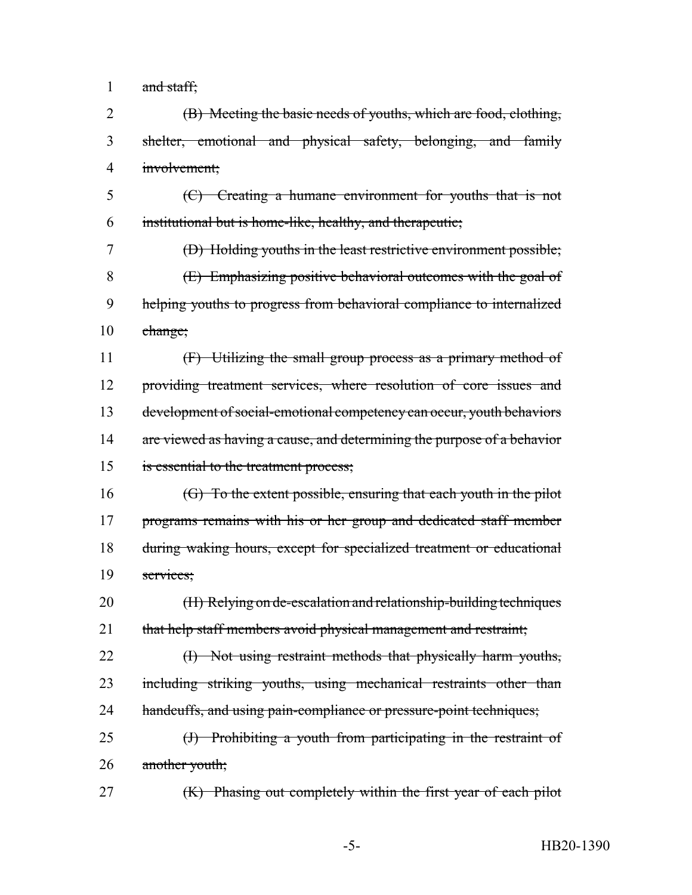1 and staff;

 (B) Meeting the basic needs of youths, which are food, clothing, shelter, emotional and physical safety, belonging, and family involvement;

 (C) Creating a humane environment for youths that is not institutional but is home-like, healthy, and therapeutic;

 (D) Holding youths in the least restrictive environment possible; (E) Emphasizing positive behavioral outcomes with the goal of helping youths to progress from behavioral compliance to internalized change;

 (F) Utilizing the small group process as a primary method of providing treatment services, where resolution of core issues and development of social-emotional competency can occur, youth behaviors 14 are viewed as having a cause, and determining the purpose of a behavior is essential to the treatment process;

 (G) To the extent possible, ensuring that each youth in the pilot 17 programs remains with his or her group and dedicated staff member during waking hours, except for specialized treatment or educational services;

 (H) Relying on de-escalation and relationship-building techniques 21 that help staff members avoid physical management and restraint;

22 (I) Not using restraint methods that physically harm youths, including striking youths, using mechanical restraints other than 24 handcuffs, and using pain-compliance or pressure-point techniques;

 (J) Prohibiting a youth from participating in the restraint of 26 another youth;

(K) Phasing out completely within the first year of each pilot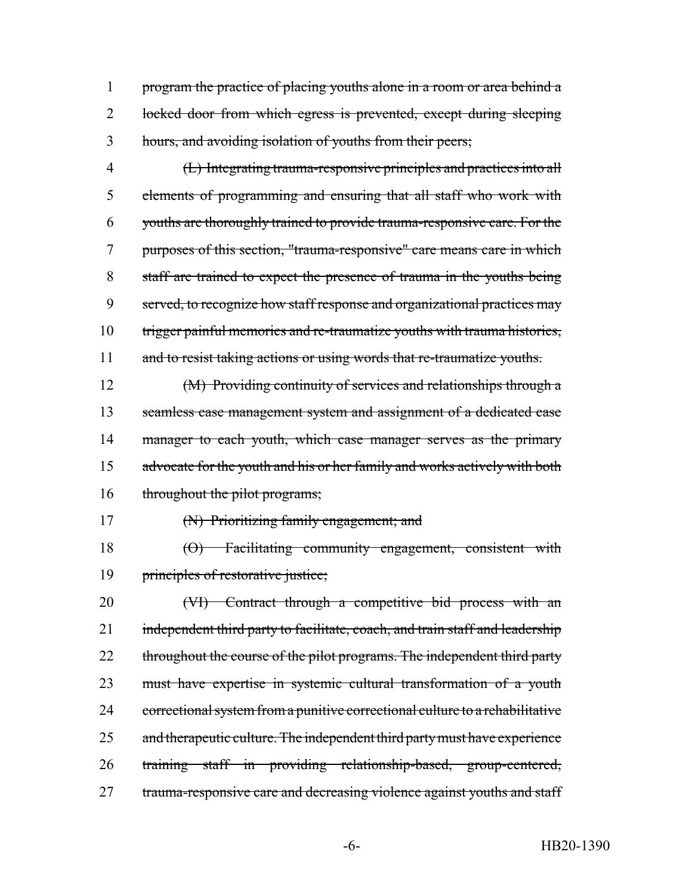1 program the practice of placing youths alone in a room or area behind a 2 locked door from which egress is prevented, except during sleeping 3 hours, and avoiding isolation of youths from their peers;

 (L) Integrating trauma-responsive principles and practices into all elements of programming and ensuring that all staff who work with youths are thoroughly trained to provide trauma-responsive care. For the purposes of this section, "trauma-responsive" care means care in which staff are trained to expect the presence of trauma in the youths being served, to recognize how staff response and organizational practices may 10 trigger painful memories and re-traumatize youths with trauma histories, 11 and to resist taking actions or using words that re-traumatize youths.

12 (M) Providing continuity of services and relationships through a 13 seamless case management system and assignment of a dedicated case 14 manager to each youth, which case manager serves as the primary 15 advocate for the youth and his or her family and works actively with both 16 throughout the pilot programs;

17 (N) Prioritizing family engagement; and

18 (O) Facilitating community engagement, consistent with 19 principles of restorative justice;

20 (VI) Contract through a competitive bid process with an 21 independent third party to facilitate, coach, and train staff and leadership 22 throughout the course of the pilot programs. The independent third party 23 must have expertise in systemic cultural transformation of a youth 24 correctional system from a punitive correctional culture to a rehabilitative 25 and therapeutic culture. The independent third party must have experience 26 training staff in providing relationship-based, group-centered, 27 trauma-responsive care and decreasing violence against youths and staff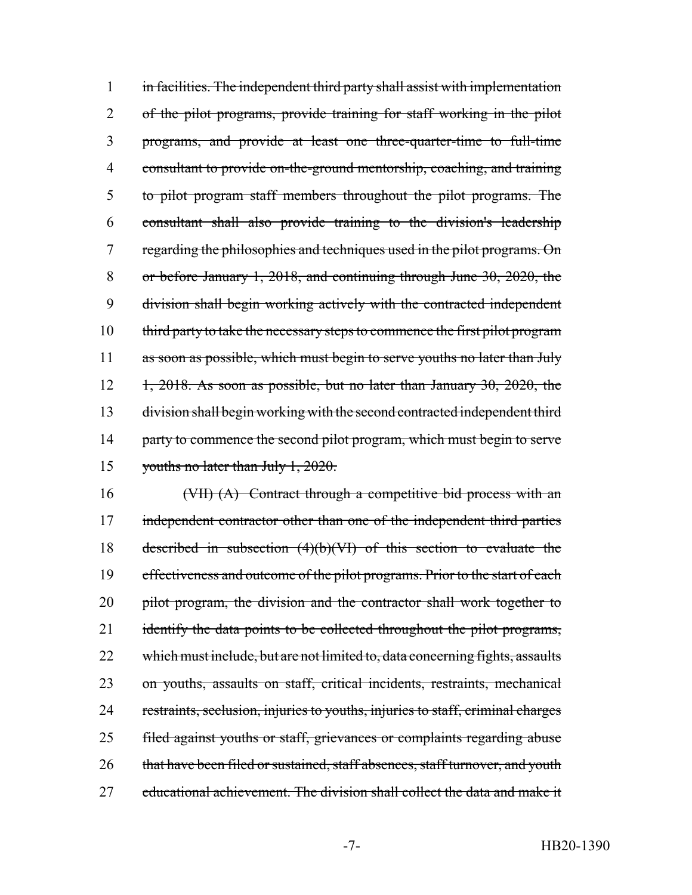in facilities. The independent third party shall assist with implementation of the pilot programs, provide training for staff working in the pilot programs, and provide at least one three-quarter-time to full-time consultant to provide on-the-ground mentorship, coaching, and training to pilot program staff members throughout the pilot programs. The consultant shall also provide training to the division's leadership 7 regarding the philosophies and techniques used in the pilot programs. On or before January 1, 2018, and continuing through June 30, 2020, the division shall begin working actively with the contracted independent third party to take the necessary steps to commence the first pilot program 11 as soon as possible, which must begin to serve youths no later than July  $1, 2018$ . As soon as possible, but no later than January 30, 2020, the division shall begin working with the second contracted independent third 14 party to commence the second pilot program, which must begin to serve youths no later than July 1, 2020.

16 (VII) (A) Contract through a competitive bid process with an 17 independent contractor other than one of the independent third parties 18 described in subsection (4)(b)(VI) of this section to evaluate the 19 effectiveness and outcome of the pilot programs. Prior to the start of each 20 pilot program, the division and the contractor shall work together to 21 identify the data points to be collected throughout the pilot programs, 22 which must include, but are not limited to, data concerning fights, assaults 23 on youths, assaults on staff, critical incidents, restraints, mechanical 24 restraints, seclusion, injuries to youths, injuries to staff, criminal charges 25 filed against youths or staff, grievances or complaints regarding abuse 26 that have been filed or sustained, staff absences, staff turnover, and youth 27 educational achievement. The division shall collect the data and make it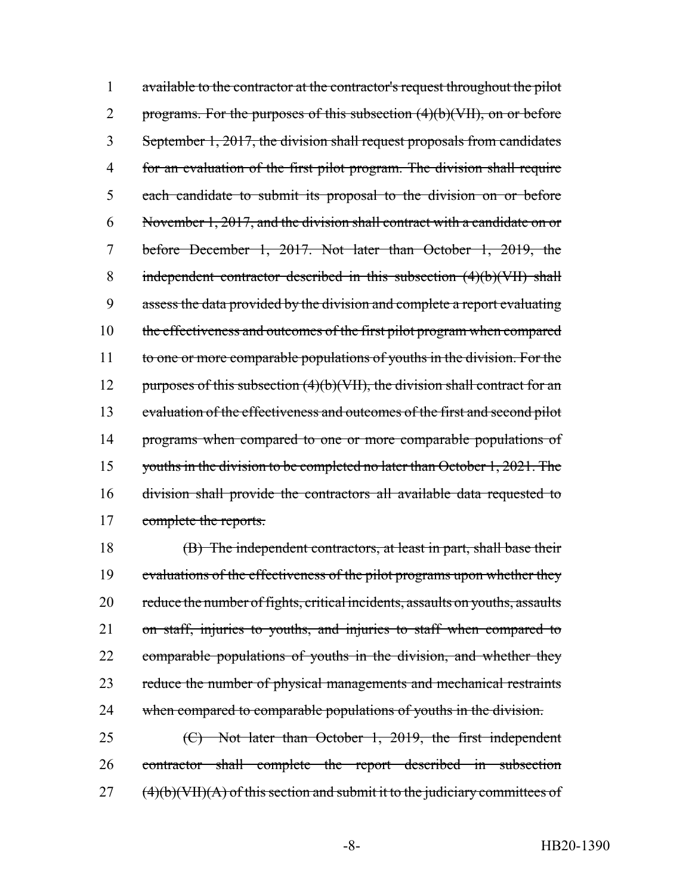1 available to the contractor at the contractor's request throughout the pilot 2 programs. For the purposes of this subsection  $(4)(b)(VII)$ , on or before 3 September 1, 2017, the division shall request proposals from candidates 4 for an evaluation of the first pilot program. The division shall require 5 each candidate to submit its proposal to the division on or before 6 November 1, 2017, and the division shall contract with a candidate on or 7 before December 1, 2017. Not later than October 1, 2019, the 8 independent contractor described in this subsection (4)(b)(VII) shall 9 assess the data provided by the division and complete a report evaluating 10 the effectiveness and outcomes of the first pilot program when compared 11 to one or more comparable populations of youths in the division. For the 12 purposes of this subsection  $(4)(b)(VII)$ , the division shall contract for an 13 evaluation of the effectiveness and outcomes of the first and second pilot 14 programs when compared to one or more comparable populations of 15 youths in the division to be completed no later than October 1, 2021. The 16 division shall provide the contractors all available data requested to 17 complete the reports.

18 (B) The independent contractors, at least in part, shall base their 19 evaluations of the effectiveness of the pilot programs upon whether they 20 reduce the number of fights, critical incidents, assaults on youths, assaults 21 on staff, injuries to youths, and injuries to staff when compared to 22 comparable populations of youths in the division, and whether they 23 reduce the number of physical managements and mechanical restraints 24 when compared to comparable populations of youths in the division.

25 (C) Not later than October 1, 2019, the first independent 26 contractor shall complete the report described in subsection  $27$  (4)(b)(VII)(A) of this section and submit it to the judiciary committees of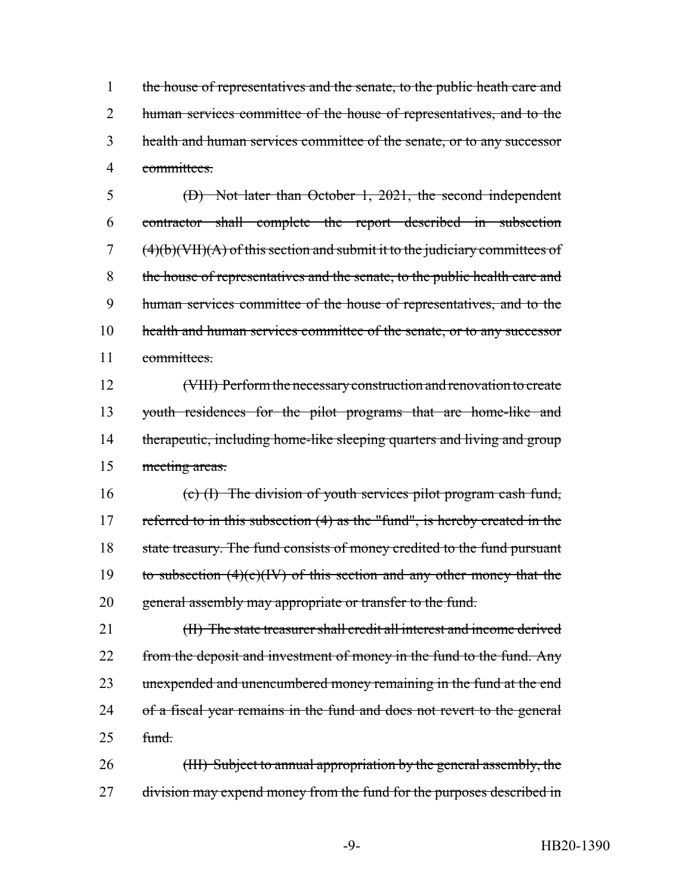1 the house of representatives and the senate, to the public heath care and 2 human services committee of the house of representatives, and to the 3 health and human services committee of the senate, or to any successor 4 committees.

 (D) Not later than October 1, 2021, the second independent contractor shall complete the report described in subsection (4)(b)(VII)(A) of this section and submit it to the judiciary committees of the house of representatives and the senate, to the public health care and human services committee of the house of representatives, and to the 10 health and human services committee of the senate, or to any successor committees.

 (VIII) Perform the necessary construction and renovation to create youth residences for the pilot programs that are home-like and 14 therapeutic, including home-like sleeping quarters and living and group meeting areas.

16 (c) (I) The division of youth services pilot program cash fund, 17 referred to in this subsection (4) as the "fund", is hereby created in the 18 state treasury. The fund consists of money credited to the fund pursuant 19 to subsection  $(4)(c)(IV)$  of this section and any other money that the 20 general assembly may appropriate or transfer to the fund.

21 (II) The state treasurer shall credit all interest and income derived 22 from the deposit and investment of money in the fund to the fund. Any 23 unexpended and unencumbered money remaining in the fund at the end 24 of a fiscal year remains in the fund and does not revert to the general  $25$  fund.

26 (III) Subject to annual appropriation by the general assembly, the 27 division may expend money from the fund for the purposes described in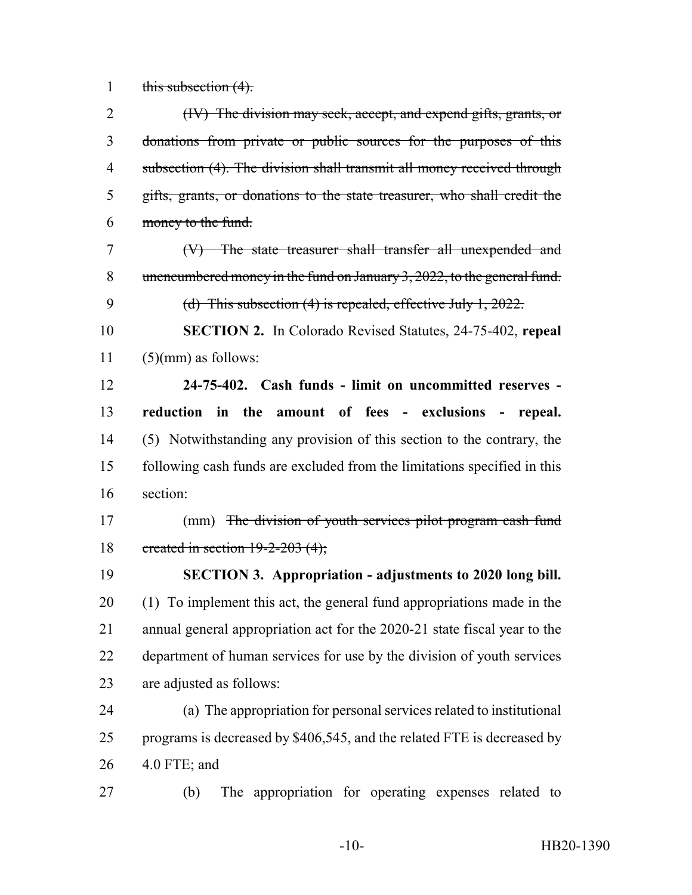1 this subsection  $(4)$ .

| $\overline{2}$ | (IV) The division may seek, accept, and expend gifts, grants, or          |
|----------------|---------------------------------------------------------------------------|
| 3              | donations from private or public sources for the purposes of this         |
| $\overline{4}$ | subsection (4). The division shall transmit all money received through    |
| 5              | gifts, grants, or donations to the state treasurer, who shall credit the  |
| 6              | money to the fund.                                                        |
| 7              | $(V)$ The state treasurer shall transfer all unexpended and               |
| 8              | unencumbered money in the fund on January 3, 2022, to the general fund.   |
| 9              | (d) This subsection $(4)$ is repealed, effective July 1, 2022.            |
| 10             | <b>SECTION 2.</b> In Colorado Revised Statutes, 24-75-402, repeal         |
| 11             | $(5)(mm)$ as follows:                                                     |
| 12             | 24-75-402. Cash funds - limit on uncommitted reserves -                   |
| 13             | reduction in the amount of fees - exclusions - repeal.                    |
| 14             | (5) Notwithstanding any provision of this section to the contrary, the    |
| 15             | following cash funds are excluded from the limitations specified in this  |
| 16             | section:                                                                  |
| 17             | (mm) The division of youth services pilot program cash fund               |
| 18             | created in section $19-2-203$ (4);                                        |
| 19             | <b>SECTION 3. Appropriation - adjustments to 2020 long bill.</b>          |
| 20             | (1) To implement this act, the general fund appropriations made in the    |
| 21             | annual general appropriation act for the 2020-21 state fiscal year to the |
| 22             | department of human services for use by the division of youth services    |
| 23             | are adjusted as follows:                                                  |
| 24             | (a) The appropriation for personal services related to institutional      |
| 25             | programs is decreased by \$406,545, and the related FTE is decreased by   |
| 26             | 4.0 FTE; and                                                              |
| 27             | The appropriation for operating expenses related to<br>(b)                |